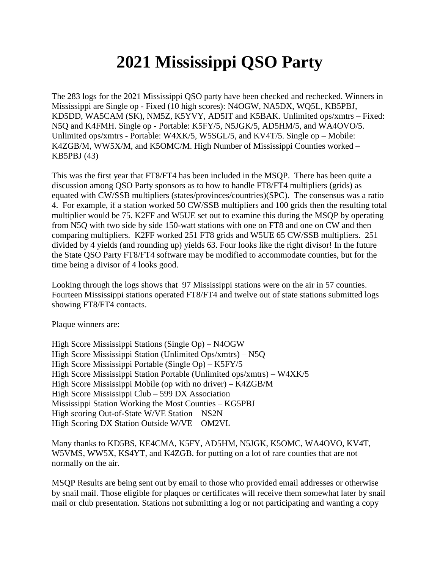## **2021 Mississippi QSO Party**

The 283 logs for the 2021 Mississippi QSO party have been checked and rechecked. Winners in Mississippi are Single op - Fixed (10 high scores): N4OGW, NA5DX, WQ5L, KB5PBJ, KD5DD, WA5CAM (SK), NM5Z, K5YVY, AD5IT and K5BAK. Unlimited ops/xmtrs – Fixed: N5Q and K4FMH. Single op - Portable: K5FY/5, N5JGK/5, AD5HM/5, and WA4OVO/5. Unlimited ops/xmtrs - Portable: W4XK/5, W5SGL/5, and KV4T/5. Single op – Mobile: K4ZGB/M, WW5X/M, and K5OMC/M. High Number of Mississippi Counties worked – KB5PBJ (43)

This was the first year that FT8/FT4 has been included in the MSQP. There has been quite a discussion among QSO Party sponsors as to how to handle FT8/FT4 multipliers (grids) as equated with CW/SSB multipliers (states/provinces/countries)(SPC). The consensus was a ratio 4. For example, if a station worked 50 CW/SSB multipliers and 100 grids then the resulting total multiplier would be 75. K2FF and W5UE set out to examine this during the MSQP by operating from N5Q with two side by side 150-watt stations with one on FT8 and one on CW and then comparing multipliers. K2FF worked 251 FT8 grids and W5UE 65 CW/SSB multipliers. 251 divided by 4 yields (and rounding up) yields 63. Four looks like the right divisor! In the future the State QSO Party FT8/FT4 software may be modified to accommodate counties, but for the time being a divisor of 4 looks good.

Looking through the logs shows that 97 Mississippi stations were on the air in 57 counties. Fourteen Mississippi stations operated FT8/FT4 and twelve out of state stations submitted logs showing FT8/FT4 contacts.

Plaque winners are:

High Score Mississippi Stations (Single Op) – N4OGW High Score Mississippi Station (Unlimited Ops/xmtrs) – N5Q High Score Mississippi Portable (Single Op) – K5FY/5 High Score Mississippi Station Portable (Unlimited ops/xmtrs) – W4XK/5 High Score Mississippi Mobile (op with no driver) – K4ZGB/M High Score Mississippi Club – 599 DX Association Mississippi Station Working the Most Counties – KG5PBJ High scoring Out-of-State W/VE Station – NS2N High Scoring DX Station Outside W/VE – OM2VL

Many thanks to KD5BS, KE4CMA, K5FY, AD5HM, N5JGK, K5OMC, WA4OVO, KV4T, W5VMS, WW5X, KS4YT, and K4ZGB. for putting on a lot of rare counties that are not normally on the air.

MSQP Results are being sent out by email to those who provided email addresses or otherwise by snail mail. Those eligible for plaques or certificates will receive them somewhat later by snail mail or club presentation. Stations not submitting a log or not participating and wanting a copy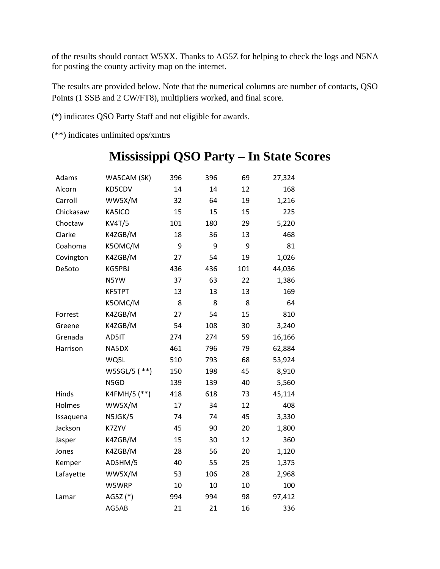of the results should contact W5XX. Thanks to AG5Z for helping to check the logs and N5NA for posting the county activity map on the internet.

The results are provided below. Note that the numerical columns are number of contacts, QSO Points (1 SSB and 2 CW/FT8), multipliers worked, and final score.

(\*) indicates QSO Party Staff and not eligible for awards.

(\*\*) indicates unlimited ops/xmtrs

| Adams     | WA5CAM (SK)   | 396 | 396 | 69  | 27,324 |
|-----------|---------------|-----|-----|-----|--------|
| Alcorn    | KD5CDV        | 14  | 14  | 12  | 168    |
| Carroll   | WW5X/M        | 32  | 64  | 19  | 1,216  |
| Chickasaw | KA5ICO        | 15  | 15  | 15  | 225    |
| Choctaw   | <b>KV4T/5</b> | 101 | 180 | 29  | 5,220  |
| Clarke    | K4ZGB/M       | 18  | 36  | 13  | 468    |
| Coahoma   | K5OMC/M       | 9   | 9   | 9   | 81     |
| Covington | K4ZGB/M       | 27  | 54  | 19  | 1,026  |
| DeSoto    | KG5PBJ        | 436 | 436 | 101 | 44,036 |
|           | N5YW          | 37  | 63  | 22  | 1,386  |
|           | <b>KF5TPT</b> | 13  | 13  | 13  | 169    |
|           | K5OMC/M       | 8   | 8   | 8   | 64     |
| Forrest   | K4ZGB/M       | 27  | 54  | 15  | 810    |
| Greene    | K4ZGB/M       | 54  | 108 | 30  | 3,240  |
| Grenada   | AD5IT         | 274 | 274 | 59  | 16,166 |
| Harrison  | NA5DX         | 461 | 796 | 79  | 62,884 |
|           | WQ5L          | 510 | 793 | 68  | 53,924 |
|           | W5SGL/5 (**)  | 150 | 198 | 45  | 8,910  |
|           | N5GD          | 139 | 139 | 40  | 5,560  |
| Hinds     | K4FMH/5 (**)  | 418 | 618 | 73  | 45,114 |
| Holmes    | WW5X/M        | 17  | 34  | 12  | 408    |
| Issaquena | N5JGK/5       | 74  | 74  | 45  | 3,330  |
| Jackson   | K7ZYV         | 45  | 90  | 20  | 1,800  |
| Jasper    | K4ZGB/M       | 15  | 30  | 12  | 360    |
| Jones     | K4ZGB/M       | 28  | 56  | 20  | 1,120  |
| Kemper    | AD5HM/5       | 40  | 55  | 25  | 1,375  |
| Lafayette | WW5X/M        | 53  | 106 | 28  | 2,968  |
|           | W5WRP         | 10  | 10  | 10  | 100    |
| Lamar     | AG5Z (*)      | 994 | 994 | 98  | 97,412 |
|           | AG5AB         | 21  | 21  | 16  | 336    |

## **Mississippi QSO Party – In State Scores**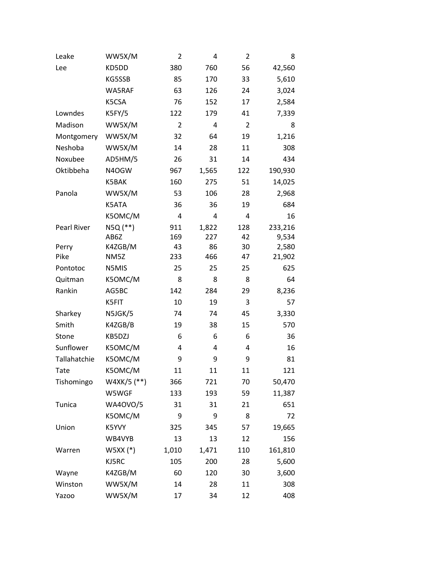| Leake              | WW5X/M          | $\overline{2}$ | 4     | $\overline{2}$ | 8       |
|--------------------|-----------------|----------------|-------|----------------|---------|
| Lee                | KD5DD           | 380            | 760   | 56             | 42,560  |
|                    | KG5SSB          | 85             | 170   | 33             | 5,610   |
|                    | WA5RAF          | 63             | 126   | 24             | 3,024   |
|                    | K5CSA           | 76             | 152   | 17             | 2,584   |
| Lowndes            | K5FY/5          | 122            | 179   | 41             | 7,339   |
| Madison            | WW5X/M          | $\overline{2}$ | 4     | $\overline{2}$ | 8       |
| Montgomery         | WW5X/M          | 32             | 64    | 19             | 1,216   |
| Neshoba            | WW5X/M          | 14             | 28    | 11             | 308     |
| Noxubee            | AD5HM/5         | 26             | 31    | 14             | 434     |
| Oktibbeha          | N4OGW           | 967            | 1,565 | 122            | 190,930 |
|                    | K5BAK           | 160            | 275   | 51             | 14,025  |
| Panola             | WW5X/M          | 53             | 106   | 28             | 2,968   |
|                    | K5ATA           | 36             | 36    | 19             | 684     |
|                    | K5OMC/M         | 4              | 4     | 4              | 16      |
| <b>Pearl River</b> | N5Q (**)        | 911            | 1,822 | 128            | 233,216 |
|                    | AB6Z            | 169            | 227   | 42             | 9,534   |
| Perry              | K4ZGB/M         | 43             | 86    | 30             | 2,580   |
| Pike               | NM5Z            | 233            | 466   | 47             | 21,902  |
| Pontotoc           | N5MIS           | 25             | 25    | 25             | 625     |
| Quitman            | K5OMC/M         | 8              | 8     | 8              | 64      |
| Rankin             | AG5BC           | 142            | 284   | 29             | 8,236   |
|                    | K5FIT           | 10             | 19    | 3              | 57      |
| Sharkey            | N5JGK/5         | 74             | 74    | 45             | 3,330   |
| Smith              | K4ZGB/B         | 19             | 38    | 15             | 570     |
| Stone              | KB5DZJ          | 6              | 6     | 6              | 36      |
| Sunflower          | K5OMC/M         | 4              | 4     | 4              | 16      |
| Tallahatchie       | K5OMC/M         | 9              | 9     | 9              | 81      |
| Tate               | K5OMC/M         | 11             | 11    | 11             | 121     |
| Tishomingo         | W4XK/5 (**)     | 366            | 721   | 70             | 50,470  |
|                    | W5WGF           | 133            | 193   | 59             | 11,387  |
| Tunica             | <b>WA4OVO/5</b> | 31             | 31    | 21             | 651     |
|                    | K5OMC/M         | 9              | 9     | 8              | 72      |
| Union              | K5YVY           | 325            | 345   | 57             | 19,665  |
|                    | WB4VYB          | 13             | 13    | 12             | 156     |
| Warren             | $WSXX$ $(*)$    | 1,010          | 1,471 | 110            | 161,810 |
|                    | KJ5RC           | 105            | 200   | 28             | 5,600   |
| Wayne              | K4ZGB/M         | 60             | 120   | 30             | 3,600   |
| Winston            | WW5X/M          | 14             | 28    | 11             | 308     |
| Yazoo              | WW5X/M          | 17             | 34    | 12             | 408     |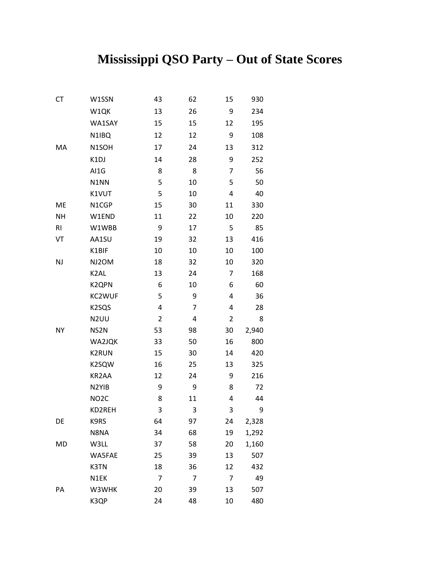## **Mississippi QSO Party – Out of State Scores**

| CT        | W1SSN              | 43             | 62             | 15             | 930   |
|-----------|--------------------|----------------|----------------|----------------|-------|
|           | W1QK               | 13             | 26             | 9              | 234   |
|           | WA1SAY             | 15             | 15             | 12             | 195   |
|           | N1IBQ              | 12             | 12             | 9              | 108   |
| MA        | N1SOH              | 17             | 24             | 13             | 312   |
|           | K1DJ               | 14             | 28             | 9              | 252   |
|           | AI1G               | 8              | 8              | 7              | 56    |
|           | N1NN               | 5              | 10             | 5              | 50    |
|           | K1VUT              | 5              | 10             | 4              | 40    |
| ME        | N1CGP              | 15             | 30             | 11             | 330   |
| <b>NH</b> | W1END              | 11             | 22             | 10             | 220   |
| R1        | W1WBB              | 9              | 17             | 5              | 85    |
| VT        | AA1SU              | 19             | 32             | 13             | 416   |
|           | K1BIF              | 10             | 10             | 10             | 100   |
| <b>NJ</b> | NJ2OM              | 18             | 32             | 10             | 320   |
|           | K <sub>2</sub> AL  | 13             | 24             | $\overline{7}$ | 168   |
|           | K2QPN              | 6              | 10             | 6              | 60    |
|           | KC2WUF             | 5              | 9              | 4              | 36    |
|           | K <sub>2</sub> SQS | 4              | 7              | 4              | 28    |
|           | N <sub>2</sub> UU  | $\overline{2}$ | 4              | $\overline{2}$ | 8     |
| NY        | NS2N               | 53             | 98             | 30             | 2,940 |
|           | WA2JQK             | 33             | 50             | 16             | 800   |
|           | <b>K2RUN</b>       | 15             | 30             | 14             | 420   |
|           | K2SQW              | 16             | 25             | 13             | 325   |
|           | KR2AA              | 12             | 24             | 9              | 216   |
|           | N <sub>2</sub> YIB | 9              | 9              | 8              | 72    |
|           | NO <sub>2</sub> C  | 8              | 11             | 4              | 44    |
|           | KD2REH             | 3              | 3              | 3              | 9     |
| DE        | K9RS               | 64             | 97             | 24             | 2,328 |
|           | N8NA               | 34             | 68             | 19             | 1,292 |
| MD        | W3LL               | 37             | 58             | 20             | 1,160 |
|           | WA5FAE             | 25             | 39             | 13             | 507   |
|           | K3TN               | 18             | 36             | 12             | 432   |
|           | N1EK               | $\overline{7}$ | $\overline{7}$ | $\overline{7}$ | 49    |
| PA        | W3WHK              | 20             | 39             | 13             | 507   |
|           | K3QP               | 24             | 48             | 10             | 480   |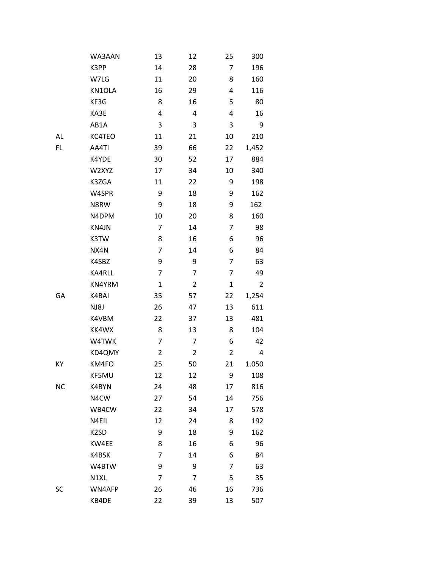|           | WA3AAN            | 13             | 12             | 25             | 300            |
|-----------|-------------------|----------------|----------------|----------------|----------------|
|           | K3PP              | 14             | 28             | 7              | 196            |
|           | W7LG              | 11             | 20             | 8              | 160            |
|           | KN1OLA            | 16             | 29             | 4              | 116            |
|           | KF3G              | 8              | 16             | 5              | 80             |
|           | KA3E              | 4              | 4              | 4              | 16             |
|           | AB1A              | $\mathsf 3$    | 3              | 3              | 9              |
| AL        | KC4TEO            | 11             | 21             | 10             | 210            |
| FL        | AA4TI             | 39             | 66             | 22             | 1,452          |
|           | K4YDE             | 30             | 52             | 17             | 884            |
|           | W2XYZ             | 17             | 34             | 10             | 340            |
|           | K3ZGA             | 11             | 22             | 9              | 198            |
|           | W4SPR             | 9              | 18             | 9              | 162            |
|           | N8RW              | 9              | 18             | 9              | 162            |
|           | N4DPM             | 10             | 20             | 8              | 160            |
|           | KN4JN             | 7              | 14             | 7              | 98             |
|           | K3TW              | 8              | 16             | 6              | 96             |
|           | NX4N              | $\overline{7}$ | 14             | 6              | 84             |
|           | K4SBZ             | 9              | 9              | 7              | 63             |
|           | KA4RLL            | $\overline{7}$ | 7              | 7              | 49             |
|           | KN4YRM            | $\mathbf{1}$   | $\overline{2}$ | $\mathbf 1$    | $\overline{2}$ |
| GA        | K4BAI             | 35             | 57             | 22             | 1,254          |
|           | NJ8J              | 26             | 47             | 13             | 611            |
|           | K4VBM             | 22             | 37             | 13             | 481            |
|           | KK4WX             | 8              | 13             | 8              | 104            |
|           | W4TWK             | $\overline{7}$ | 7              | 6              | 42             |
|           | KD4QMY            | $\overline{2}$ | $\overline{2}$ | $\overline{2}$ | 4              |
| KY        | KM4FO             | 25             | 50             | 21             | 1.050          |
|           | KF5MU             | 12             | 12             | 9              | 108            |
| <b>NC</b> | K4BYN             | 24             | 48             | 17             | 816            |
|           | N4CW              | 27             | 54             | 14             | 756            |
|           | WB4CW             | 22             | 34             | 17             | 578            |
|           | N4EII             | 12             | 24             | 8              | 192            |
|           | K <sub>2</sub> SD | 9              | 18             | 9              | 162            |
|           | KW4EE             | 8              | 16             | 6              | 96             |
|           | K4BSK             | $\overline{7}$ | 14             | 6              | 84             |
|           | W4BTW             | 9              | 9              | 7              | 63             |
|           | N1XL              | $\overline{7}$ | 7              | 5              | 35             |
| SC        | WN4AFP            | 26             | 46             | 16             | 736            |
|           | KB4DE             | 22             | 39             | 13             | 507            |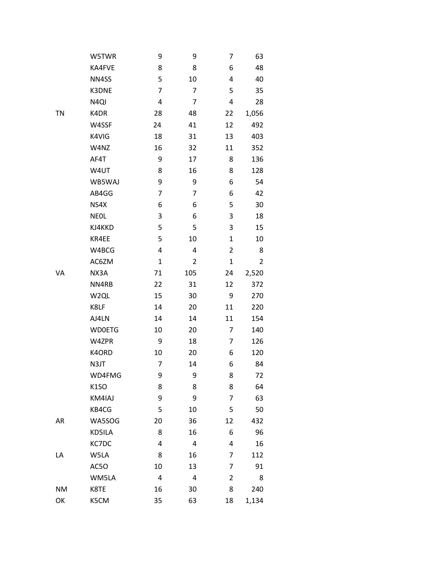|           | W5TWR             | 9                       | 9              | 7           | 63             |
|-----------|-------------------|-------------------------|----------------|-------------|----------------|
|           | KA4FVE            | 8                       | 8              | 6           | 48             |
|           | NN4SS             | 5                       | 10             | 4           | 40             |
|           | K3DNE             | $\overline{7}$          | $\overline{7}$ | 5           | 35             |
|           | N <sub>4QI</sub>  | 4                       | $\overline{7}$ | 4           | 28             |
| <b>TN</b> | K4DR              | 28                      | 48             | 22          | 1,056          |
|           | W4SSF             | 24                      | 41             | 12          | 492            |
|           | K4VIG             | 18                      | 31             | 13          | 403            |
|           | W4NZ              | 16                      | 32             | 11          | 352            |
|           | AF4T              | 9                       | 17             | 8           | 136            |
|           | W4UT              | 8                       | 16             | 8           | 128            |
|           | WB5WAJ            | 9                       | 9              | 6           | 54             |
|           | AB4GG             | $\overline{7}$          | $\overline{7}$ | 6           | 42             |
|           | NS4X              | 6                       | 6              | 5           | 30             |
|           | <b>NEOL</b>       | 3                       | 6              | 3           | 18             |
|           | KJ4KKD            | 5                       | 5              | 3           | 15             |
|           | KR4EE             | 5                       | 10             | $\mathbf 1$ | 10             |
|           | W4BCG             | $\overline{\mathbf{4}}$ | 4              | 2           | 8              |
|           | AC6ZM             | $\mathbf 1$             | 2              | $\mathbf 1$ | $\overline{2}$ |
| VA        | NX3A              | 71                      | 105            | 24          | 2,520          |
|           | NN4RB             | 22                      | 31             | 12          | 372            |
|           | W <sub>2QL</sub>  | 15                      | 30             | 9           | 270            |
|           | K8LF              | 14                      | 20             | 11          | 220            |
|           | AJ4LN             | 14                      | 14             | 11          | 154            |
|           | <b>WDOETG</b>     | 10                      | 20             | 7           | 140            |
|           | W4ZPR             | 9                       | 18             | 7           | 126            |
|           | K4ORD             | 10                      | 20             | 6           | 120            |
|           | N3JT              | 7                       | 14             | 6           | 84             |
|           | WD4FMG            | 9                       | 9              | 8           | 72             |
|           | K <sub>1</sub> SO | 8                       | 8              | 8           | 64             |
|           | KM4IAJ            | 9                       | 9              | 7           | 63             |
|           | KB4CG             | 5                       | 10             | 5           | 50             |
| AR        | WA5SOG            | 20                      | 36             | 12          | 432            |
|           | KD5ILA            | 8                       | 16             | 6           | 96             |
|           | KC7DC             | 4                       | 4              | 4           | 16             |
| LA        | W5LA              | 8                       | 16             | 7           | 112            |
|           | AC5O              | 10                      | 13             | 7           | 91             |
|           | WM5LA             | 4                       | 4              | 2           | 8              |
| <b>NM</b> | K8TE              | 16                      | 30             | 8           | 240            |
| OK        | K5CM              | 35                      | 63             | 18          | 1,134          |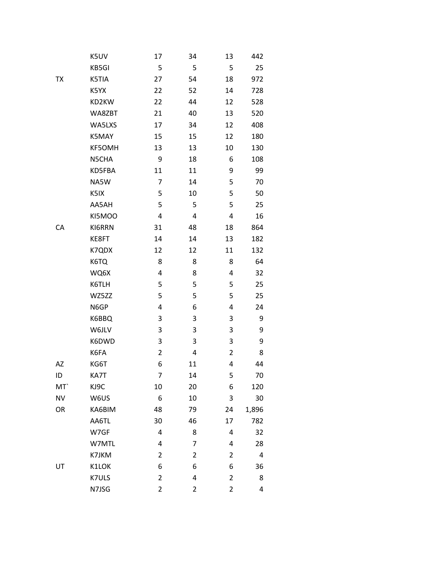|                 | K5UV          | 17             | 34             | 13             | 442   |
|-----------------|---------------|----------------|----------------|----------------|-------|
|                 | KB5GI         | 5              | 5              | 5              | 25    |
| TX              | K5TIA         | 27             | 54             | 18             | 972   |
|                 | K5YX          | 22             | 52             | 14             | 728   |
|                 | KD2KW         | 22             | 44             | 12             | 528   |
|                 | WA8ZBT        | 21             | 40             | 13             | 520   |
|                 | WA5LXS        | 17             | 34             | 12             | 408   |
|                 | K5MAY         | 15             | 15             | 12             | 180   |
|                 | <b>KF5OMH</b> | 13             | 13             | 10             | 130   |
|                 | N5CHA         | 9              | 18             | 6              | 108   |
|                 | KD5FBA        | 11             | 11             | 9              | 99    |
|                 | NA5W          | 7              | 14             | 5              | 70    |
|                 | K5IX          | 5              | 10             | 5              | 50    |
|                 | AA5AH         | 5              | 5              | 5              | 25    |
|                 | KI5MOO        | 4              | 4              | 4              | 16    |
| CA              | KI6RRN        | 31             | 48             | 18             | 864   |
|                 | KE8FT         | 14             | 14             | 13             | 182   |
|                 | K7QDX         | 12             | 12             | 11             | 132   |
|                 | K6TQ          | 8              | 8              | 8              | 64    |
|                 | WQ6X          | 4              | 8              | 4              | 32    |
|                 | K6TLH         | 5              | 5              | 5              | 25    |
|                 | WZ5ZZ         | 5              | 5              | 5              | 25    |
|                 | N6GP          | 4              | 6              | 4              | 24    |
|                 | K6BBQ         | 3              | 3              | 3              | 9     |
|                 | W6JLV         | 3              | 3              | 3              | 9     |
|                 | K6DWD         | 3              | 3              | 3              | 9     |
|                 | K6FA          | $\overline{2}$ | 4              | 2              | 8     |
| AZ              | KG6T          | 6              | 11             | 4              | 44    |
| ID              | KA7T          | 7              | 14             | 5              | 70    |
| MT <sup>'</sup> | KJ9C          | 10             | 20             | 6              | 120   |
| <b>NV</b>       | W6US          | 6              | 10             | 3              | 30    |
| OR              | KA6BIM        | 48             | 79             | 24             | 1,896 |
|                 | AA6TL         | 30             | 46             | 17             | 782   |
|                 | W7GF          | 4              | 8              | 4              | 32    |
|                 | W7MTL         | 4              | 7              | 4              | 28    |
|                 | K7JKM         | $\overline{2}$ | $\overline{2}$ | 2              | 4     |
| UT              | K1LOK         | 6              | 6              | 6              | 36    |
|                 | K7ULS         | $\overline{2}$ | 4              | 2              | 8     |
|                 | N7JSG         | $\overline{2}$ | $\overline{c}$ | $\overline{2}$ | 4     |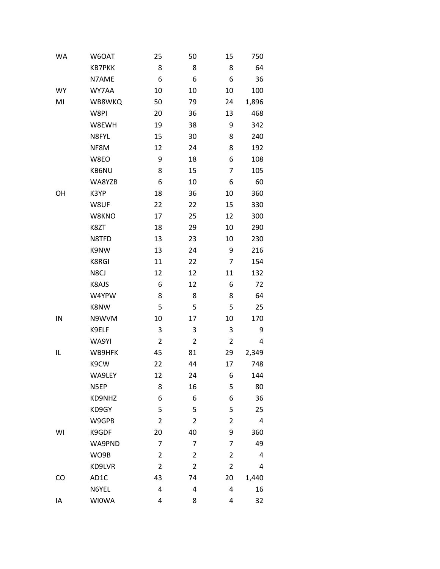| WA        | W6OAT         | 25             | 50             | 15             | 750   |
|-----------|---------------|----------------|----------------|----------------|-------|
|           | <b>KB7PKK</b> | 8              | 8              | 8              | 64    |
|           | N7AME         | 6              | 6              | 6              | 36    |
| <b>WY</b> | WY7AA         | 10             | 10             | 10             | 100   |
| MI        | WB8WKQ        | 50             | 79             | 24             | 1,896 |
|           | W8PI          | 20             | 36             | 13             | 468   |
|           | W8EWH         | 19             | 38             | 9              | 342   |
|           | N8FYL         | 15             | 30             | 8              | 240   |
|           | NF8M          | 12             | 24             | 8              | 192   |
|           | W8EO          | 9              | 18             | 6              | 108   |
|           | KB6NU         | 8              | 15             | 7              | 105   |
|           | WA8YZB        | 6              | 10             | 6              | 60    |
| OH        | K3YP          | 18             | 36             | 10             | 360   |
|           | W8UF          | 22             | 22             | 15             | 330   |
|           | W8KNO         | 17             | 25             | 12             | 300   |
|           | K8ZT          | 18             | 29             | 10             | 290   |
|           | N8TFD         | 13             | 23             | 10             | 230   |
|           | K9NW          | 13             | 24             | 9              | 216   |
|           | <b>K8RGI</b>  | 11             | 22             | 7              | 154   |
|           | N8CJ          | 12             | 12             | 11             | 132   |
|           | K8AJS         | 6              | 12             | 6              | 72    |
|           | W4YPW         | 8              | 8              | 8              | 64    |
|           | K8NW          | 5              | 5              | 5              | 25    |
| IN        | N9WVM         | 10             | 17             | 10             | 170   |
|           | K9ELF         | 3              | 3              | 3              | 9     |
|           | WA9YI         | $\overline{2}$ | 2              | 2              | 4     |
| IL        | WB9HFK        | 45             | 81             | 29             | 2,349 |
|           | K9CW          | 22             | 44             | 17             | 748   |
|           | WA9LEY        | 12             | 24             | 6              | 144   |
|           | N5EP          | 8              | 16             | 5              | 80    |
|           | KD9NHZ        | 6              | 6              | 6              | 36    |
|           | KD9GY         | 5              | 5              | 5              | 25    |
|           | W9GPB         | $\overline{2}$ | $\overline{2}$ | $\overline{2}$ | 4     |
| WI        | K9GDF         | 20             | 40             | 9              | 360   |
|           | WA9PND        | $\overline{7}$ | 7              | 7              | 49    |
|           | WO9B          | $\overline{2}$ | $\overline{2}$ | $\overline{2}$ | 4     |
|           | KD9LVR        | $\overline{2}$ | $\overline{2}$ | $\overline{2}$ | 4     |
| CO        | AD1C          | 43             | 74             | 20             | 1,440 |
|           | N6YEL         | 4              | 4              | 4              | 16    |
| ΙA        | <b>WIOWA</b>  | 4              | 8              | 4              | 32    |